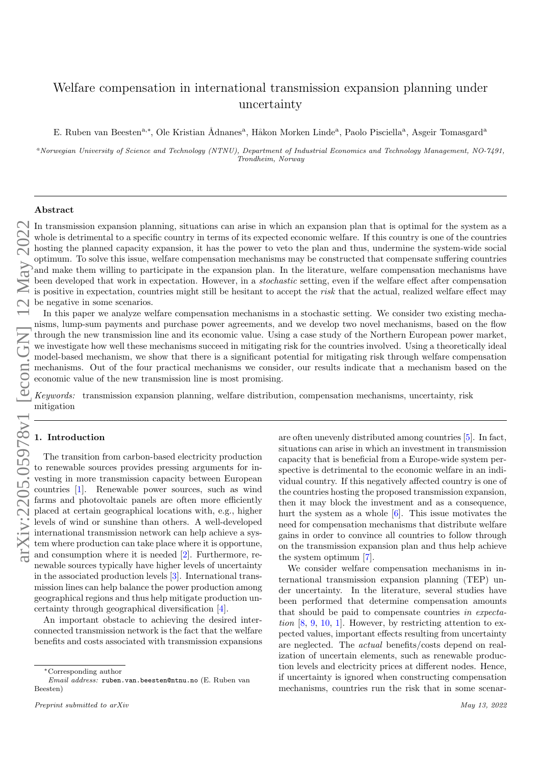# Welfare compensation in international transmission expansion planning under uncertainty

E. Ruben van Beesten<sup>a,∗</sup>, Ole Kristian Ådnanes<sup>a</sup>, Håkon Morken Linde<sup>a</sup>, Paolo Pisciella<sup>a</sup>, Asgeir Tomasgard<sup>a</sup>

<sup>a</sup>Norwegian University of Science and Technology (NTNU), Department of Industrial Economics and Technology Management, NO-7491, Trondheim, Norway

# Abstract

In transmission expansion planning, situations can arise in which an expansion plan that is optimal for the system as a whole is detrimental to a specific country in terms of its expected economic welfare. If this country is one of the countries hosting the planned capacity expansion, it has the power to veto the plan and thus, undermine the system-wide social optimum. To solve this issue, welfare compensation mechanisms may be constructed that compensate suffering countries and make them willing to participate in the expansion plan. In the literature, welfare compensation mechanisms have been developed that work in expectation. However, in a stochastic setting, even if the welfare effect after compensation is positive in expectation, countries might still be hesitant to accept the risk that the actual, realized welfare effect may be negative in some scenarios.

In this paper we analyze welfare compensation mechanisms in a stochastic setting. We consider two existing mechanisms, lump-sum payments and purchase power agreements, and we develop two novel mechanisms, based on the flow through the new transmission line and its economic value. Using a case study of the Northern European power market, we investigate how well these mechanisms succeed in mitigating risk for the countries involved. Using a theoretically ideal model-based mechanism, we show that there is a significant potential for mitigating risk through welfare compensation mechanisms. Out of the four practical mechanisms we consider, our results indicate that a mechanism based on the economic value of the new transmission line is most promising.

Keywords: transmission expansion planning, welfare distribution, compensation mechanisms, uncertainty, risk mitigation

# 1. Introduction

The transition from carbon-based electricity production to renewable sources provides pressing arguments for investing in more transmission capacity between European countries [\[1\]](#page-16-0). Renewable power sources, such as wind farms and photovoltaic panels are often more efficiently placed at certain geographical locations with, e.g., higher levels of wind or sunshine than others. A well-developed international transmission network can help achieve a system where production can take place where it is opportune, and consumption where it is needed [\[2\]](#page-16-1). Furthermore, renewable sources typically have higher levels of uncertainty in the associated production levels [\[3\]](#page-16-2). International transmission lines can help balance the power production among geographical regions and thus help mitigate production uncertainty through geographical diversification [\[4\]](#page-16-3).

An important obstacle to achieving the desired interconnected transmission network is the fact that the welfare benefits and costs associated with transmission expansions

are often unevenly distributed among countries [\[5\]](#page-16-4). In fact, situations can arise in which an investment in transmission capacity that is beneficial from a Europe-wide system perspective is detrimental to the economic welfare in an individual country. If this negatively affected country is one of the countries hosting the proposed transmission expansion, then it may block the investment and as a consequence, hurt the system as a whole [\[6\]](#page-16-5). This issue motivates the need for compensation mechanisms that distribute welfare gains in order to convince all countries to follow through on the transmission expansion plan and thus help achieve the system optimum [\[7\]](#page-16-6).

We consider welfare compensation mechanisms in international transmission expansion planning (TEP) under uncertainty. In the literature, several studies have been performed that determine compensation amounts that should be paid to compensate countries in expectation  $[8, 9, 10, 1]$  $[8, 9, 10, 1]$  $[8, 9, 10, 1]$  $[8, 9, 10, 1]$  $[8, 9, 10, 1]$  $[8, 9, 10, 1]$  $[8, 9, 10, 1]$ . However, by restricting attention to expected values, important effects resulting from uncertainty are neglected. The actual benefits/costs depend on realization of uncertain elements, such as renewable production levels and electricity prices at different nodes. Hence, if uncertainty is ignored when constructing compensation mechanisms, countries run the risk that in some scenar-

<sup>∗</sup>Corresponding author

Email address: ruben.van.beesten@ntnu.no (E. Ruben van Beesten)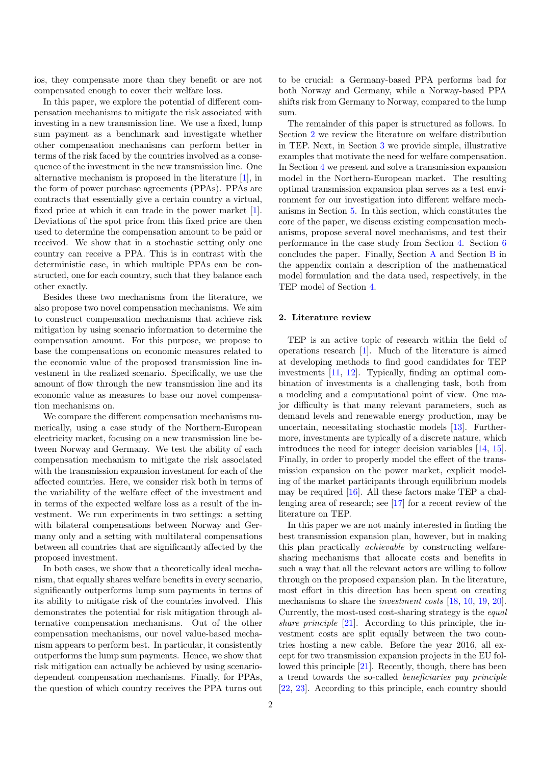ios, they compensate more than they benefit or are not compensated enough to cover their welfare loss.

In this paper, we explore the potential of different compensation mechanisms to mitigate the risk associated with investing in a new transmission line. We use a fixed, lump sum payment as a benchmark and investigate whether other compensation mechanisms can perform better in terms of the risk faced by the countries involved as a consequence of the investment in the new transmission line. One alternative mechanism is proposed in the literature [\[1\]](#page-16-0), in the form of power purchase agreements (PPAs). PPAs are contracts that essentially give a certain country a virtual, fixed price at which it can trade in the power market [\[1\]](#page-16-0). Deviations of the spot price from this fixed price are then used to determine the compensation amount to be paid or received. We show that in a stochastic setting only one country can receive a PPA. This is in contrast with the deterministic case, in which multiple PPAs can be constructed, one for each country, such that they balance each other exactly.

Besides these two mechanisms from the literature, we also propose two novel compensation mechanisms. We aim to construct compensation mechanisms that achieve risk mitigation by using scenario information to determine the compensation amount. For this purpose, we propose to base the compensations on economic measures related to the economic value of the proposed transmission line investment in the realized scenario. Specifically, we use the amount of flow through the new transmission line and its economic value as measures to base our novel compensation mechanisms on.

We compare the different compensation mechanisms numerically, using a case study of the Northern-European electricity market, focusing on a new transmission line between Norway and Germany. We test the ability of each compensation mechanism to mitigate the risk associated with the transmission expansion investment for each of the affected countries. Here, we consider risk both in terms of the variability of the welfare effect of the investment and in terms of the expected welfare loss as a result of the investment. We run experiments in two settings: a setting with bilateral compensations between Norway and Germany only and a setting with multilateral compensations between all countries that are significantly affected by the proposed investment.

In both cases, we show that a theoretically ideal mechanism, that equally shares welfare benefits in every scenario, significantly outperforms lump sum payments in terms of its ability to mitigate risk of the countries involved. This demonstrates the potential for risk mitigation through alternative compensation mechanisms. Out of the other compensation mechanisms, our novel value-based mechanism appears to perform best. In particular, it consistently outperforms the lump sum payments. Hence, we show that risk mitigation can actually be achieved by using scenariodependent compensation mechanisms. Finally, for PPAs, the question of which country receives the PPA turns out

to be crucial: a Germany-based PPA performs bad for both Norway and Germany, while a Norway-based PPA shifts risk from Germany to Norway, compared to the lump sum.

The remainder of this paper is structured as follows. In Section [2](#page-1-0) we review the literature on welfare distribution in TEP. Next, in Section [3](#page-2-0) we provide simple, illustrative examples that motivate the need for welfare compensation. In Section [4](#page-4-0) we present and solve a transmission expansion model in the Northern-European market. The resulting optimal transmission expansion plan serves as a test environment for our investigation into different welfare mechanisms in Section [5.](#page-6-0) In this section, which constitutes the core of the paper, we discuss existing compensation mechanisms, propose several novel mechanisms, and test their performance in the case study from Section [4.](#page-4-0) Section [6](#page-12-0) concludes the paper. Finally, Section [A](#page-13-0) and Section [B](#page-16-7) in the appendix contain a description of the mathematical model formulation and the data used, respectively, in the TEP model of Section [4.](#page-4-0)

# <span id="page-1-0"></span>2. Literature review

TEP is an active topic of research within the field of operations research [\[1\]](#page-16-0). Much of the literature is aimed at developing methods to find good candidates for TEP investments [\[11,](#page-17-3) [12\]](#page-17-4). Typically, finding an optimal combination of investments is a challenging task, both from a modeling and a computational point of view. One major difficulty is that many relevant parameters, such as demand levels and renewable energy production, may be uncertain, necessitating stochastic models [\[13\]](#page-17-5). Furthermore, investments are typically of a discrete nature, which introduces the need for integer decision variables [\[14,](#page-17-6) [15\]](#page-17-7). Finally, in order to properly model the effect of the transmission expansion on the power market, explicit modeling of the market participants through equilibrium models may be required [\[16\]](#page-17-8). All these factors make TEP a challenging area of research; see [\[17\]](#page-17-9) for a recent review of the literature on TEP.

In this paper we are not mainly interested in finding the best transmission expansion plan, however, but in making this plan practically achievable by constructing welfaresharing mechanisms that allocate costs and benefits in such a way that all the relevant actors are willing to follow through on the proposed expansion plan. In the literature, most effort in this direction has been spent on creating mechanisms to share the *investment costs* [\[18,](#page-17-10) [10,](#page-17-2) [19,](#page-17-11) [20\]](#page-17-12). Currently, the most-used cost-sharing strategy is the equal share principle [\[21\]](#page-17-13). According to this principle, the investment costs are split equally between the two countries hosting a new cable. Before the year 2016, all except for two transmission expansion projects in the EU followed this principle [\[21\]](#page-17-13). Recently, though, there has been a trend towards the so-called beneficiaries pay principle [\[22,](#page-17-14) [23\]](#page-17-15). According to this principle, each country should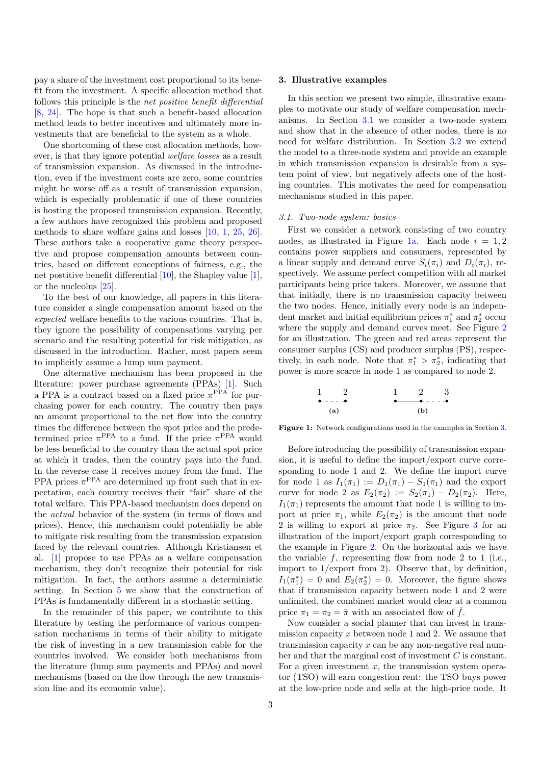pay a share of the investment cost proportional to its benefit from the investment. A specific allocation method that follows this principle is the net positive benefit differential [\[8,](#page-17-0) [24\]](#page-17-16). The hope is that such a benefit-based allocation method leads to better incentives and ultimately more investments that are beneficial to the system as a whole.

One shortcoming of these cost allocation methods, however, is that they ignore potential welfare losses as a result of transmission expansion. As discussed in the introduction, even if the investment costs are zero, some countries might be worse off as a result of transmission expansion, which is especially problematic if one of these countries is hosting the proposed transmission expansion. Recently, a few authors have recognized this problem and proposed methods to share welfare gains and losses [\[10,](#page-17-2) [1,](#page-16-0) [25,](#page-17-17) [26\]](#page-17-18). These authors take a cooperative game theory perspective and propose compensation amounts between countries, based on different conceptions of fairness, e.g., the net postitive benefit differential [\[10\]](#page-17-2), the Shapley value [\[1\]](#page-16-0), or the nucleolus [\[25\]](#page-17-17).

To the best of our knowledge, all papers in this literature consider a single compensation amount based on the expected welfare benefits to the various countries. That is, they ignore the possibility of compensations varying per scenario and the resulting potential for risk mitigation, as discussed in the introduction. Rather, most papers seem to implicitly assume a lump sum payment.

One alternative mechanism has been proposed in the literature: power purchase agreements (PPAs) [\[1\]](#page-16-0). Such a PPA is a contract based on a fixed price  $\pi$ <sup>PPA</sup> for purchasing power for each country. The country then pays an amount proportional to the net flow into the country times the difference between the spot price and the predetermined price  $\pi^{\text{PPA}}$  to a fund. If the price  $\pi^{\text{PPA}}$  would be less beneficial to the country than the actual spot price at which it trades, then the country pays into the fund. In the reverse case it receives money from the fund. The PPA prices  $\pi$ <sup>PPA</sup> are determined up front such that in expectation, each country receives their "fair" share of the total welfare. This PPA-based mechanism does depend on the actual behavior of the system (in terms of flows and prices). Hence, this mechanism could potentially be able to mitigate risk resulting from the transmission expansion faced by the relevant countries. Although Kristiansen et al. [\[1\]](#page-16-0) propose to use PPAs as a welfare compensation mechanism, they don't recognize their potential for risk mitigation. In fact, the authors assume a deterministic setting. In Section [5](#page-6-0) we show that the construction of PPAs is fundamentally different in a stochastic setting.

In the remainder of this paper, we contribute to this literature by testing the performance of various compensation mechanisms in terms of their ability to mitigate the risk of investing in a new transmission cable for the countries involved. We consider both mechanisms from the literature (lump sum payments and PPAs) and novel mechanisms (based on the flow through the new transmission line and its economic value).

#### <span id="page-2-0"></span>3. Illustrative examples

In this section we present two simple, illustrative examples to motivate our study of welfare compensation mechanisms. In Section [3.1](#page-2-1) we consider a two-node system and show that in the absence of other nodes, there is no need for welfare distribution. In Section [3.2](#page-3-0) we extend the model to a three-node system and provide an example in which transmission expansion is desirable from a system point of view, but negatively affects one of the hosting countries. This motivates the need for compensation mechanisms studied in this paper.

# <span id="page-2-1"></span>3.1. Two-node system: basics

First we consider a network consisting of two country nodes, as illustrated in Figure [1a.](#page-2-2) Each node  $i = 1, 2$ contains power suppliers and consumers, represented by a linear supply and demand curve  $S_i(\pi_i)$  and  $D_i(\pi_i)$ , respectively. We assume perfect competition with all market participants being price takers. Moreover, we assume that that initially, there is no transmission capacity between the two nodes. Hence, initially every node is an independent market and initial equilibrium prices  $\pi_1^*$  and  $\pi_2^*$  occur where the supply and demand curves meet. See Figure [2](#page-3-1) for an illustration. The green and red areas represent the consumer surplus (CS) and producer surplus (PS), respectively, in each node. Note that  $\pi_1^* > \pi_2^*$ , indicating that power is more scarce in node 1 as compared to node 2.

<span id="page-2-2"></span>
$$
\begin{array}{cccc}\n1 & 2 & 1 & 2 & 3 \\
\bullet & - & - & \bullet & & \bullet & - & - & \bullet \\
\text{(a)} & & & & & \text{(b)}\n\end{array}
$$

Figure 1: Network configurations used in the examples in Section [3.](#page-2-0)

Before introducing the possibility of transmission expansion, it is useful to define the import/export curve corresponding to node 1 and 2. We define the import curve for node 1 as  $I_1(\pi_1) := D_1(\pi_1) - S_1(\pi_1)$  and the export curve for node 2 as  $E_2(\pi_2) := S_2(\pi_1) - D_2(\pi_2)$ . Here,  $I_1(\pi_1)$  represents the amount that node 1 is willing to import at price  $\pi_1$ , while  $E_2(\pi_2)$  is the amount that node 2 is willing to export at price  $\pi_2$ . See Figure [3](#page-3-2) for an illustration of the import/export graph corresponding to the example in Figure [2.](#page-3-1) On the horizontal axis we have the variable  $f$ , representing flow from node 2 to 1 (i.e., import to 1/export from 2). Observe that, by definition,  $I_1(\pi_1^*) = 0$  and  $E_2(\pi_2^*) = 0$ . Moreover, the figure shows that if transmission capacity between node 1 and 2 were unlimited, the combined market would clear at a common price  $\pi_1 = \pi_2 = \bar{\pi}$  with an associated flow of  $\bar{f}$ .

Now consider a social planner that can invest in transmission capacity x between node 1 and 2. We assume that transmission capacity x can be any non-negative real number and that the marginal cost of investment C is constant. For a given investment  $x$ , the transmission system operator (TSO) will earn congestion rent: the TSO buys power at the low-price node and sells at the high-price node. It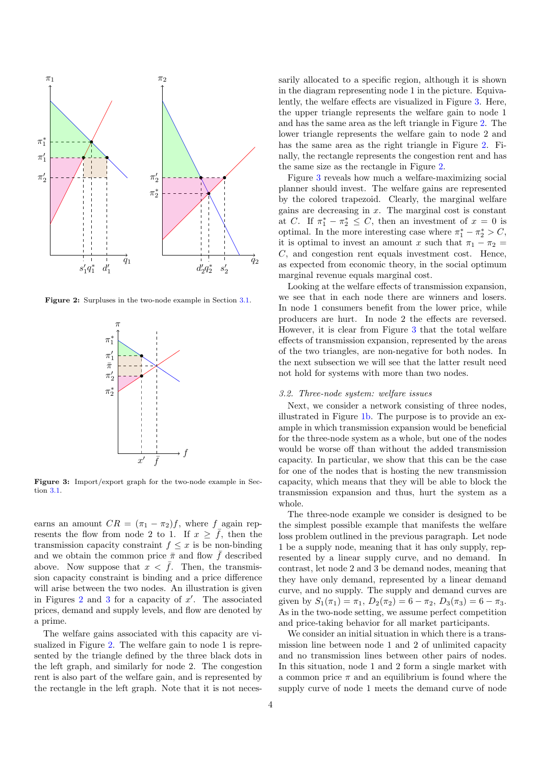<span id="page-3-1"></span>

<span id="page-3-2"></span>Figure 2: Surpluses in the two-node example in Section [3.1.](#page-2-1)



Figure 3: Import/export graph for the two-node example in Section [3.1.](#page-2-1)

earns an amount  $CR = (\pi_1 - \pi_2)f$ , where f again represents the flow from node 2 to 1. If  $x \geq \overline{f}$ , then the transmission capacity constraint  $f \leq x$  is be non-binding and we obtain the common price  $\bar{\pi}$  and flow  $\bar{f}$  described above. Now suppose that  $x < \bar{f}$ . Then, the transmission capacity constraint is binding and a price difference will arise between the two nodes. An illustration is given in Figures [2](#page-3-1) and [3](#page-3-2) for a capacity of  $x'$ . The associated prices, demand and supply levels, and flow are denoted by a prime.

The welfare gains associated with this capacity are visualized in Figure [2.](#page-3-1) The welfare gain to node 1 is represented by the triangle defined by the three black dots in the left graph, and similarly for node 2. The congestion rent is also part of the welfare gain, and is represented by the rectangle in the left graph. Note that it is not necessarily allocated to a specific region, although it is shown in the diagram representing node 1 in the picture. Equivalently, the welfare effects are visualized in Figure [3.](#page-3-2) Here, the upper triangle represents the welfare gain to node 1 and has the same area as the left triangle in Figure [2.](#page-3-1) The lower triangle represents the welfare gain to node 2 and has the same area as the right triangle in Figure [2.](#page-3-1) Finally, the rectangle represents the congestion rent and has the same size as the rectangle in Figure [2.](#page-3-1)

Figure [3](#page-3-2) reveals how much a welfare-maximizing social planner should invest. The welfare gains are represented by the colored trapezoid. Clearly, the marginal welfare gains are decreasing in  $x$ . The marginal cost is constant at C. If  $\pi_1^* - \pi_2^* \leq C$ , then an investment of  $x = 0$  is optimal. In the more interesting case where  $\pi_1^* - \pi_2^* > C$ , it is optimal to invest an amount x such that  $\pi_1 - \pi_2 =$ C, and congestion rent equals investment cost. Hence, as expected from economic theory, in the social optimum marginal revenue equals marginal cost.

Looking at the welfare effects of transmission expansion, we see that in each node there are winners and losers. In node 1 consumers benefit from the lower price, while producers are hurt. In node 2 the effects are reversed. However, it is clear from Figure [3](#page-3-2) that the total welfare effects of transmission expansion, represented by the areas of the two triangles, are non-negative for both nodes. In the next subsection we will see that the latter result need not hold for systems with more than two nodes.

# <span id="page-3-0"></span>3.2. Three-node system: welfare issues

Next, we consider a network consisting of three nodes, illustrated in Figure [1b.](#page-2-2) The purpose is to provide an example in which transmission expansion would be beneficial for the three-node system as a whole, but one of the nodes would be worse off than without the added transmission capacity. In particular, we show that this can be the case for one of the nodes that is hosting the new transmission capacity, which means that they will be able to block the transmission expansion and thus, hurt the system as a whole.

The three-node example we consider is designed to be the simplest possible example that manifests the welfare loss problem outlined in the previous paragraph. Let node 1 be a supply node, meaning that it has only supply, represented by a linear supply curve, and no demand. In contrast, let node 2 and 3 be demand nodes, meaning that they have only demand, represented by a linear demand curve, and no supply. The supply and demand curves are given by  $S_1(\pi_1) = \pi_1$ ,  $D_2(\pi_2) = 6 - \pi_2$ ,  $D_3(\pi_3) = 6 - \pi_3$ . As in the two-node setting, we assume perfect competition and price-taking behavior for all market participants.

We consider an initial situation in which there is a transmission line between node 1 and 2 of unlimited capacity and no transmission lines between other pairs of nodes. In this situation, node 1 and 2 form a single market with a common price  $\pi$  and an equilibrium is found where the supply curve of node 1 meets the demand curve of node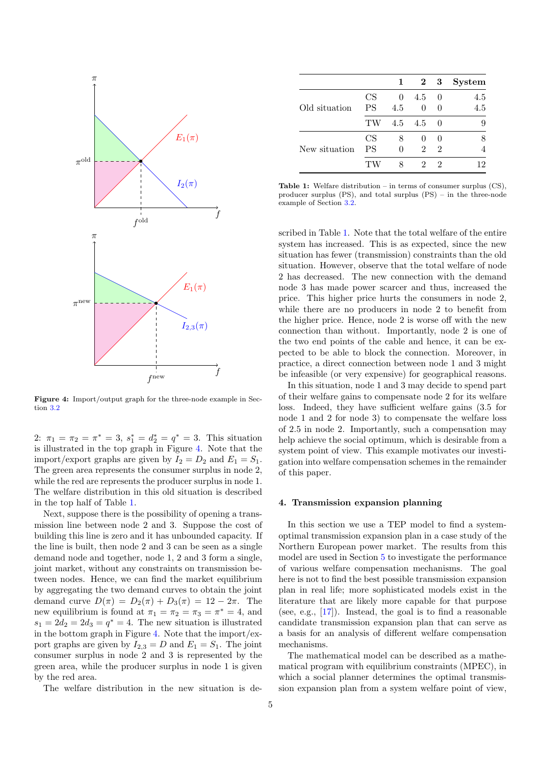<span id="page-4-1"></span>

Figure 4: Import/output graph for the three-node example in Section [3.2](#page-3-0)

2:  $\pi_1 = \pi_2 = \pi^* = 3$ ,  $s_1^* = d_2^* = q^* = 3$ . This situation is illustrated in the top graph in Figure [4.](#page-4-1) Note that the import/export graphs are given by  $I_2 = D_2$  and  $E_1 = S_1$ . The green area represents the consumer surplus in node 2, while the red are represents the producer surplus in node 1. The welfare distribution in this old situation is described in the top half of Table [1.](#page-4-2)

Next, suppose there is the possibility of opening a transmission line between node 2 and 3. Suppose the cost of building this line is zero and it has unbounded capacity. If the line is built, then node 2 and 3 can be seen as a single demand node and together, node 1, 2 and 3 form a single, joint market, without any constraints on transmission between nodes. Hence, we can find the market equilibrium by aggregating the two demand curves to obtain the joint demand curve  $D(\pi) = D_2(\pi) + D_3(\pi) = 12 - 2\pi$ . The new equilibrium is found at  $\pi_1 = \pi_2 = \pi_3 = \pi^* = 4$ , and  $s_1 = 2d_2 = 2d_3 = q^* = 4$ . The new situation is illustrated in the bottom graph in Figure [4.](#page-4-1) Note that the import/export graphs are given by  $I_{2,3} = D$  and  $E_1 = S_1$ . The joint consumer surplus in node 2 and 3 is represented by the green area, while the producer surplus in node 1 is given by the red area.

The welfare distribution in the new situation is de-

<span id="page-4-2"></span>

|           |          |          |                             | <b>System</b> |
|-----------|----------|----------|-----------------------------|---------------|
| CS        | $\theta$ | 4.5      | $\left( \right)$            | 4.5           |
| <b>PS</b> | 4.5      | $\Omega$ | $\Omega$                    | 4.5           |
| TW        |          |          | $\Omega$                    | 9             |
| CS        |          |          | $\Omega$                    |               |
| PS        |          | 2        | $\mathcal{D}_{\mathcal{L}}$ |               |
|           |          | 2        | 2                           | '2            |
|           |          |          | $4.5\quad 4.5$              | $2 \quad 3$   |

Table 1: Welfare distribution – in terms of consumer surplus (CS), producer surplus (PS), and total surplus (PS) – in the three-node example of Section [3.2.](#page-3-0)

scribed in Table [1.](#page-4-2) Note that the total welfare of the entire system has increased. This is as expected, since the new situation has fewer (transmission) constraints than the old situation. However, observe that the total welfare of node 2 has decreased. The new connection with the demand node 3 has made power scarcer and thus, increased the price. This higher price hurts the consumers in node 2, while there are no producers in node 2 to benefit from the higher price. Hence, node 2 is worse off with the new connection than without. Importantly, node 2 is one of the two end points of the cable and hence, it can be expected to be able to block the connection. Moreover, in practice, a direct connection between node 1 and 3 might be infeasible (or very expensive) for geographical reasons.

In this situation, node 1 and 3 may decide to spend part of their welfare gains to compensate node 2 for its welfare loss. Indeed, they have sufficient welfare gains (3.5 for node 1 and 2 for node 3) to compensate the welfare loss of 2.5 in node 2. Importantly, such a compensation may help achieve the social optimum, which is desirable from a system point of view. This example motivates our investigation into welfare compensation schemes in the remainder of this paper.

# <span id="page-4-0"></span>4. Transmission expansion planning

In this section we use a TEP model to find a systemoptimal transmission expansion plan in a case study of the Northern European power market. The results from this model are used in Section [5](#page-6-0) to investigate the performance of various welfare compensation mechanisms. The goal here is not to find the best possible transmission expansion plan in real life; more sophisticated models exist in the literature that are likely more capable for that purpose (see, e.g.,  $[17]$ ). Instead, the goal is to find a reasonable candidate transmission expansion plan that can serve as a basis for an analysis of different welfare compensation mechanisms.

The mathematical model can be described as a mathematical program with equilibrium constraints (MPEC), in which a social planner determines the optimal transmission expansion plan from a system welfare point of view,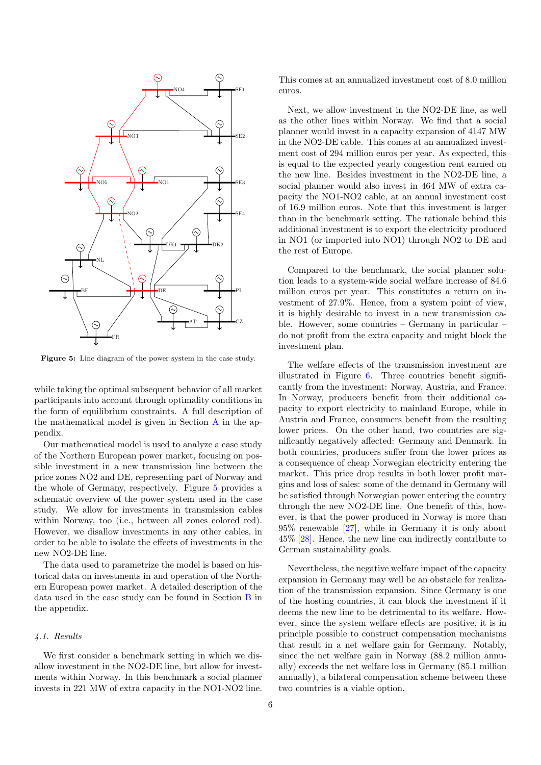<span id="page-5-0"></span>

Figure 5: Line diagram of the power system in the case study.

while taking the optimal subsequent behavior of all market participants into account through optimality conditions in the form of equilibrium constraints. A full description of the mathematical model is given in Section [A](#page-13-0) in the appendix.

Our mathematical model is used to analyze a case study of the Northern European power market, focusing on possible investment in a new transmission line between the price zones NO2 and DE, representing part of Norway and the whole of Germany, respectively. Figure [5](#page-5-0) provides a schematic overview of the power system used in the case study. We allow for investments in transmission cables within Norway, too (i.e., between all zones colored red). However, we disallow investments in any other cables, in order to be able to isolate the effects of investments in the new NO2-DE line.

The data used to parametrize the model is based on historical data on investments in and operation of the Northern European power market. A detailed description of the data used in the case study can be found in Section [B](#page-16-7) in the appendix.

# 4.1. Results

We first consider a benchmark setting in which we disallow investment in the NO2-DE line, but allow for investments within Norway. In this benchmark a social planner invests in 221 MW of extra capacity in the NO1-NO2 line. This comes at an annualized investment cost of 8.0 million euros.

Next, we allow investment in the NO2-DE line, as well as the other lines within Norway. We find that a social planner would invest in a capacity expansion of 4147 MW in the NO2-DE cable. This comes at an annualized investment cost of 294 million euros per year. As expected, this is equal to the expected yearly congestion rent earned on the new line. Besides investment in the NO2-DE line, a social planner would also invest in 464 MW of extra capacity the NO1-NO2 cable, at an annual investment cost of 16.9 million euros. Note that this investment is larger than in the benchmark setting. The rationale behind this additional investment is to export the electricity produced in NO1 (or imported into NO1) through NO2 to DE and the rest of Europe.

Compared to the benchmark, the social planner solution leads to a system-wide social welfare increase of 84.6 million euros per year. This constitutes a return on investment of 27.9%. Hence, from a system point of view, it is highly desirable to invest in a new transmission cable. However, some countries – Germany in particular – do not profit from the extra capacity and might block the investment plan.

The welfare effects of the transmission investment are illustrated in Figure [6.](#page-6-1) Three countries benefit significantly from the investment: Norway, Austria, and France. In Norway, producers benefit from their additional capacity to export electricity to mainland Europe, while in Austria and France, consumers benefit from the resulting lower prices. On the other hand, two countries are significantly negatively affected: Germany and Denmark. In both countries, producers suffer from the lower prices as a consequence of cheap Norwegian electricity entering the market. This price drop results in both lower profit margins and loss of sales: some of the demand in Germany will be satisfied through Norwegian power entering the country through the new NO2-DE line. One benefit of this, however, is that the power produced in Norway is more than 95% renewable [\[27\]](#page-17-19), while in Germany it is only about 45% [\[28\]](#page-17-20). Hence, the new line can indirectly contribute to German sustainability goals.

Nevertheless, the negative welfare impact of the capacity expansion in Germany may well be an obstacle for realization of the transmission expansion. Since Germany is one of the hosting countries, it can block the investment if it deems the new line to be detrimental to its welfare. However, since the system welfare effects are positive, it is in principle possible to construct compensation mechanisms that result in a net welfare gain for Germany. Notably, since the net welfare gain in Norway (88.2 million annually) exceeds the net welfare loss in Germany (85.1 million annually), a bilateral compensation scheme between these two countries is a viable option.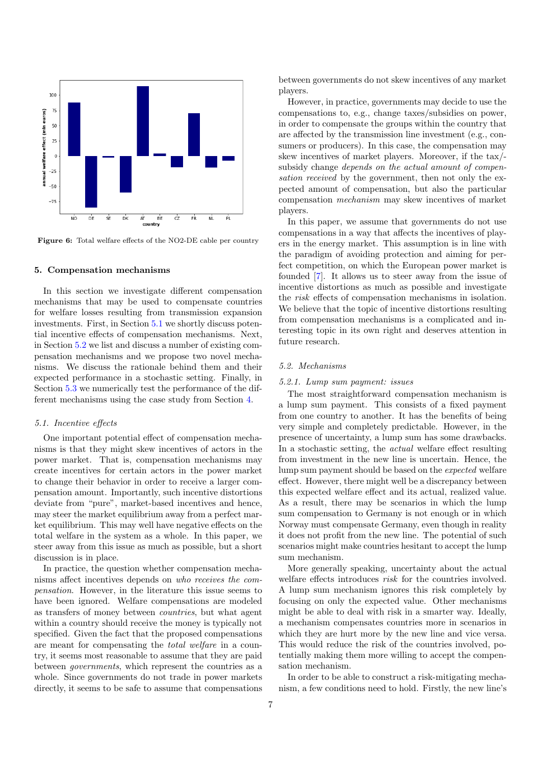<span id="page-6-1"></span>

Figure 6: Total welfare effects of the NO2-DE cable per country

# <span id="page-6-0"></span>5. Compensation mechanisms

In this section we investigate different compensation mechanisms that may be used to compensate countries for welfare losses resulting from transmission expansion investments. First, in Section [5.1](#page-6-2) we shortly discuss potential incentive effects of compensation mechanisms. Next, in Section [5.2](#page-6-3) we list and discuss a number of existing compensation mechanisms and we propose two novel mechanisms. We discuss the rationale behind them and their expected performance in a stochastic setting. Finally, in Section [5.3](#page-9-0) we numerically test the performance of the different mechanisms using the case study from Section [4.](#page-4-0)

# <span id="page-6-2"></span>5.1. Incentive effects

One important potential effect of compensation mechanisms is that they might skew incentives of actors in the power market. That is, compensation mechanisms may create incentives for certain actors in the power market to change their behavior in order to receive a larger compensation amount. Importantly, such incentive distortions deviate from "pure", market-based incentives and hence, may steer the market equilibrium away from a perfect market equilibrium. This may well have negative effects on the total welfare in the system as a whole. In this paper, we steer away from this issue as much as possible, but a short discussion is in place.

In practice, the question whether compensation mechanisms affect incentives depends on who receives the compensation. However, in the literature this issue seems to have been ignored. Welfare compensations are modeled as transfers of money between countries, but what agent within a country should receive the money is typically not specified. Given the fact that the proposed compensations are meant for compensating the total welfare in a country, it seems most reasonable to assume that they are paid between governments, which represent the countries as a whole. Since governments do not trade in power markets directly, it seems to be safe to assume that compensations

between governments do not skew incentives of any market players.

However, in practice, governments may decide to use the compensations to, e.g., change taxes/subsidies on power, in order to compensate the groups within the country that are affected by the transmission line investment (e.g., consumers or producers). In this case, the compensation may skew incentives of market players. Moreover, if the tax/ subsidy change depends on the actual amount of compensation received by the government, then not only the expected amount of compensation, but also the particular compensation mechanism may skew incentives of market players.

In this paper, we assume that governments do not use compensations in a way that affects the incentives of players in the energy market. This assumption is in line with the paradigm of avoiding protection and aiming for perfect competition, on which the European power market is founded [\[7\]](#page-16-6). It allows us to steer away from the issue of incentive distortions as much as possible and investigate the risk effects of compensation mechanisms in isolation. We believe that the topic of incentive distortions resulting from compensation mechanisms is a complicated and interesting topic in its own right and deserves attention in future research.

# <span id="page-6-3"></span>5.2. Mechanisms

# 5.2.1. Lump sum payment: issues

The most straightforward compensation mechanism is a lump sum payment. This consists of a fixed payment from one country to another. It has the benefits of being very simple and completely predictable. However, in the presence of uncertainty, a lump sum has some drawbacks. In a stochastic setting, the actual welfare effect resulting from investment in the new line is uncertain. Hence, the lump sum payment should be based on the expected welfare effect. However, there might well be a discrepancy between this expected welfare effect and its actual, realized value. As a result, there may be scenarios in which the lump sum compensation to Germany is not enough or in which Norway must compensate Germany, even though in reality it does not profit from the new line. The potential of such scenarios might make countries hesitant to accept the lump sum mechanism.

More generally speaking, uncertainty about the actual welfare effects introduces risk for the countries involved. A lump sum mechanism ignores this risk completely by focusing on only the expected value. Other mechanisms might be able to deal with risk in a smarter way. Ideally, a mechanism compensates countries more in scenarios in which they are hurt more by the new line and vice versa. This would reduce the risk of the countries involved, potentially making them more willing to accept the compensation mechanism.

In order to be able to construct a risk-mitigating mechanism, a few conditions need to hold. Firstly, the new line's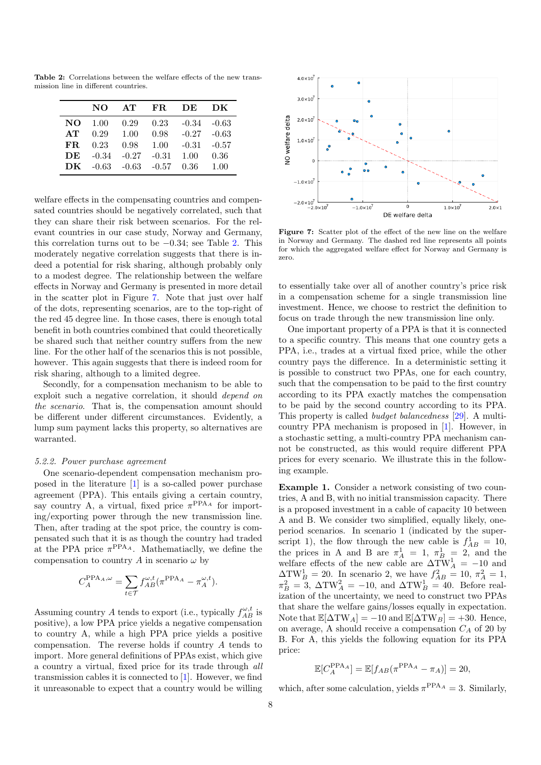<span id="page-7-0"></span>Table 2: Correlations between the welfare effects of the new transmission line in different countries.

|     | NΩ      | AT             | FR.     | - DE    | DK.     |
|-----|---------|----------------|---------|---------|---------|
| NO. | 1.00    | 0.29           | 0.23    | $-0.34$ | -0.63   |
| AT  | 0.29    | 1.00           | 0.98    | $-0.27$ | $-0.63$ |
| FR. | 0.23    | 0.98           | 1.00    | $-0.31$ | $-0.57$ |
| DE  | $-0.34$ | $-0.27$        | $-0.31$ | 1.00    | 0.36    |
| DK  |         | $-0.63 - 0.63$ | $-0.57$ | 0.36    | 1.00    |

welfare effects in the compensating countries and compensated countries should be negatively correlated, such that they can share their risk between scenarios. For the relevant countries in our case study, Norway and Germany, this correlation turns out to be −0.34; see Table [2.](#page-7-0) This moderately negative correlation suggests that there is indeed a potential for risk sharing, although probably only to a modest degree. The relationship between the welfare effects in Norway and Germany is presented in more detail in the scatter plot in Figure [7.](#page-7-1) Note that just over half of the dots, representing scenarios, are to the top-right of the red 45 degree line. In those cases, there is enough total benefit in both countries combined that could theoretically be shared such that neither country suffers from the new line. For the other half of the scenarios this is not possible, however. This again suggests that there is indeed room for risk sharing, although to a limited degree.

Secondly, for a compensation mechanism to be able to exploit such a negative correlation, it should depend on the scenario. That is, the compensation amount should be different under different circumstances. Evidently, a lump sum payment lacks this property, so alternatives are warranted.

# 5.2.2. Power purchase agreement

One scenario-dependent compensation mechanism proposed in the literature [\[1\]](#page-16-0) is a so-called power purchase agreement (PPA). This entails giving a certain country, say country A, a virtual, fixed price  $\pi^{\text{PPA}_{A}}$  for importing/exporting power through the new transmission line. Then, after trading at the spot price, the country is compensated such that it is as though the country had traded at the PPA price  $\pi$ <sup>PPA<sub>A</sub>. Mathematiaclly, we define the</sup> compensation to country A in scenario  $\omega$  by

$$
C_A^{\mathrm{PPA}_A,\omega} = \sum_{t\in\mathcal{T}} f_{AB}^{\omega,t} (\pi^{\mathrm{PPA}_A} - \pi_A^{\omega,t}).
$$

Assuming country A tends to export (i.e., typically  $f_{AB}^{\omega,t}$  is positive), a low PPA price yields a negative compensation to country A, while a high PPA price yields a positive compensation. The reverse holds if country A tends to import. More general definitions of PPAs exist, which give a country a virtual, fixed price for its trade through all transmission cables it is connected to [\[1\]](#page-16-0). However, we find it unreasonable to expect that a country would be willing

<span id="page-7-1"></span>

Figure 7: Scatter plot of the effect of the new line on the welfare in Norway and Germany. The dashed red line represents all points for which the aggregated welfare effect for Norway and Germany is zero.

to essentially take over all of another country's price risk in a compensation scheme for a single transmission line investment. Hence, we choose to restrict the definition to focus on trade through the new transmission line only.

One important property of a PPA is that it is connected to a specific country. This means that one country gets a PPA, i.e., trades at a virtual fixed price, while the other country pays the difference. In a deterministic setting it is possible to construct two PPAs, one for each country, such that the compensation to be paid to the first country according to its PPA exactly matches the compensation to be paid by the second country according to its PPA. This property is called budget balancedness [\[29\]](#page-17-21). A multicountry PPA mechanism is proposed in [\[1\]](#page-16-0). However, in a stochastic setting, a multi-country PPA mechanism cannot be constructed, as this would require different PPA prices for every scenario. We illustrate this in the following example.

Example 1. Consider a network consisting of two countries, A and B, with no initial transmission capacity. There is a proposed investment in a cable of capacity 10 between A and B. We consider two simplified, equally likely, oneperiod scenarios. In scenario 1 (indicated by the superscript 1), the flow through the new cable is  $f_{AB}^1 = 10$ , the prices in A and B are  $\pi_A^1 = 1$ ,  $\pi_B^1 = 2$ , and the welfare effects of the new cable are  $\Delta \text{TW}_A^1 = -10$  and  $\Delta \text{TW}_B^1 = 20$ . In scenario 2, we have  $f_{AB}^2 = 10$ ,  $\pi_A^2 = 1$ ,  $\pi_B^2 = 3$ ,  $\Delta \text{T} \text{W}_A^2 = -10$ , and  $\Delta \text{T} \text{W}_B^1 = 40$ . Before realization of the uncertainty, we need to construct two PPAs that share the welfare gains/losses equally in expectation. Note that  $\mathbb{E}[\Delta \text{T} \text{W}_A] = -10$  and  $\mathbb{E}[\Delta \text{T} \text{W}_B] = +30$ . Hence, on average, A should receive a compensation  $C_A$  of 20 by B. For A, this yields the following equation for its PPA price:

$$
\mathbb{E}[C_A^{\text{PPA}_A}] = \mathbb{E}[f_{AB}(\pi^{\text{PPA}_A} - \pi_A)] = 20,
$$

which, after some calculation, yields  $\pi^{\text{PPA}_{A}} = 3$ . Similarly,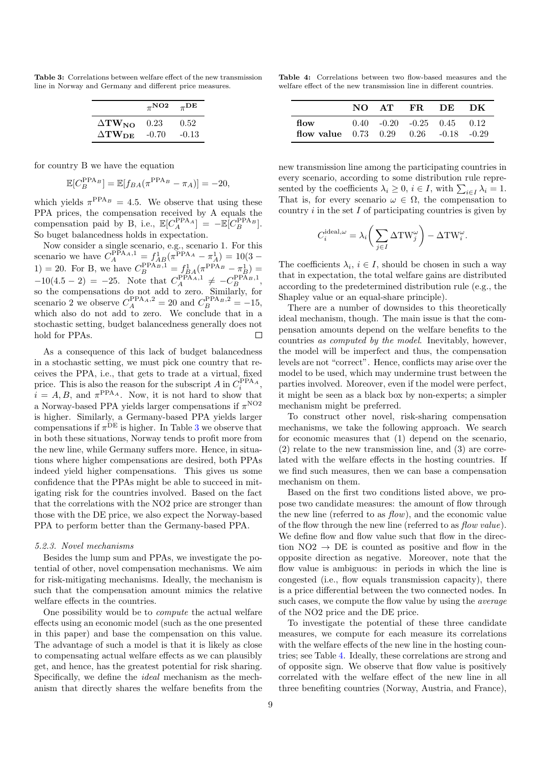<span id="page-8-0"></span>Table 3: Correlations between welfare effect of the new transmission line in Norway and Germany and different price measures.

|                       | $\pi^{\mathbf{NO2}}$ | $_{\pi}$ DE |
|-----------------------|----------------------|-------------|
| $\Delta T W_{NO}$     | 0.23                 | 0.52        |
| $\Delta T W_{\rm DE}$ | $-0.70$              | $-0.13$     |

for country B we have the equation

$$
\mathbb{E}[C_B^{\text{PPA}_B}] = \mathbb{E}[f_{BA}(\pi^{\text{PPA}_B} - \pi_A)] = -20,
$$

which yields  $\pi^{\text{PPA}_{B}} = 4.5$ . We observe that using these PPA prices, the compensation received by A equals the compensation paid by B, i.e.,  $\mathbb{E}[C_A^{\text{PPA}_A}] = -\mathbb{E}[C_B^{\text{PPA}_B}].$ So buget balancedness holds in expectation.

Now consider a single scenario, e.g., scenario 1. For this scenario we have  $C_A^{\text{PPA}_{A,1}} = f_{AB}^1(\pi^{\text{PPA}_{A}} - \pi_A^1) = 10(3 -$ 1) = 20. For B, we have  $C_B^{\text{PPA}_B,1} = f_{BA}^1(\pi^{\text{PPA}_B} - \pi_B^1)$  =  $-10(4.5 - 2) = -25$ . Note that  $C_A^{\text{PPA}_{A}} \neq -C_B^{\text{PPA}_{B}}$ , so the compensations do not add to zero. Similarly, for scenario 2 we observe  $C_A^{\text{PPA}_A,2} = 20$  and  $C_B^{\text{PPA}_B,2} = -15$ , which also do not add to zero. We conclude that in a stochastic setting, budget balancedness generally does not hold for PPAs.  $\Box$ 

As a consequence of this lack of budget balancedness in a stochastic setting, we must pick one country that receives the PPA, i.e., that gets to trade at a virtual, fixed price. This is also the reason for the subscript A in  $C_i^{\text{PPA}_A}$ ,  $i = A, B$ , and  $\pi^{\text{PPA}_{A}}$ . Now, it is not hard to show that a Norway-based PPA yields larger compensations if  $\pi$ <sup>NO2</sup> is higher. Similarly, a Germany-based PPA yields larger compensations if  $\pi^{DE}$  is higher. In Table [3](#page-8-0) we observe that in both these situations, Norway tends to profit more from the new line, while Germany suffers more. Hence, in situations where higher compensations are desired, both PPAs indeed yield higher compensations. This gives us some confidence that the PPAs might be able to succeed in mitigating risk for the countries involved. Based on the fact that the correlations with the NO2 price are stronger than those with the DE price, we also expect the Norway-based PPA to perform better than the Germany-based PPA.

# <span id="page-8-2"></span>5.2.3. Novel mechanisms

Besides the lump sum and PPAs, we investigate the potential of other, novel compensation mechanisms. We aim for risk-mitigating mechanisms. Ideally, the mechanism is such that the compensation amount mimics the relative welfare effects in the countries.

One possibility would be to compute the actual welfare effects using an economic model (such as the one presented in this paper) and base the compensation on this value. The advantage of such a model is that it is likely as close to compensating actual welfare effects as we can plausibly get, and hence, has the greatest potential for risk sharing. Specifically, we define the ideal mechanism as the mechanism that directly shares the welfare benefits from the

<span id="page-8-1"></span>Table 4: Correlations between two flow-based measures and the welfare effect of the new transmission line in different countries.

|                                                         |  | NO AT FR. DE DK              |  |
|---------------------------------------------------------|--|------------------------------|--|
| flow<br>flow value $0.73$ $0.29$ $0.26$ $-0.18$ $-0.29$ |  | $0.40 -0.20 -0.25 0.45 0.12$ |  |

new transmission line among the participating countries in every scenario, according to some distribution rule represented by the coefficients  $\lambda_i \geq 0$ ,  $i \in I$ , with  $\sum_{i \in I} \lambda_i = 1$ . That is, for every scenario  $\omega \in \Omega$ , the compensation to country  $i$  in the set  $I$  of participating countries is given by

$$
C_i^{\text{ideal},\omega} = \lambda_i \bigg(\sum_{j \in I} \Delta \text{TW}_j^{\omega}\bigg) - \Delta \text{TW}_i^{\omega}.
$$

The coefficients  $\lambda_i, i \in I$ , should be chosen in such a way that in expectation, the total welfare gains are distributed according to the predetermined distribution rule (e.g., the Shapley value or an equal-share principle).

There are a number of downsides to this theoretically ideal mechanism, though. The main issue is that the compensation amounts depend on the welfare benefits to the countries as computed by the model. Inevitably, however, the model will be imperfect and thus, the compensation levels are not "correct". Hence, conflicts may arise over the model to be used, which may undermine trust between the parties involved. Moreover, even if the model were perfect, it might be seen as a black box by non-experts; a simpler mechanism might be preferred.

To construct other novel, risk-sharing compensation mechanisms, we take the following approach. We search for economic measures that (1) depend on the scenario, (2) relate to the new transmission line, and (3) are correlated with the welfare effects in the hosting countries. If we find such measures, then we can base a compensation mechanism on them.

Based on the first two conditions listed above, we propose two candidate measures: the amount of flow through the new line (referred to as  $flow$ ), and the economic value of the flow through the new line (referred to as flow value). We define flow and flow value such that flow in the direction  $NO2 \rightarrow DE$  is counted as positive and flow in the opposite direction as negative. Moreover, note that the flow value is ambiguous: in periods in which the line is congested (i.e., flow equals transmission capacity), there is a price differential between the two connected nodes. In such cases, we compute the flow value by using the average of the NO2 price and the DE price.

To investigate the potential of these three candidate measures, we compute for each measure its correlations with the welfare effects of the new line in the hosting countries; see Table [4.](#page-8-1) Ideally, these correlations are strong and of opposite sign. We observe that flow value is positively correlated with the welfare effect of the new line in all three benefiting countries (Norway, Austria, and France),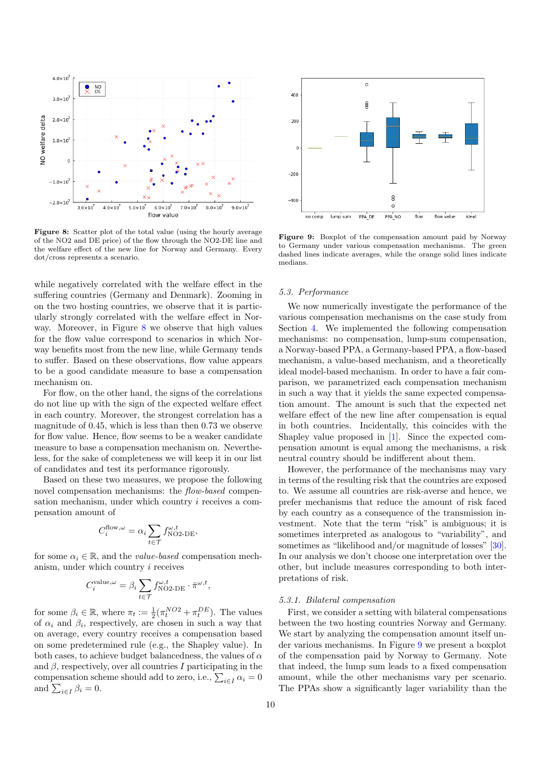<span id="page-9-1"></span>

Figure 8: Scatter plot of the total value (using the hourly average of the NO2 and DE price) of the flow through the NO2-DE line and the welfare effect of the new line for Norway and Germany. Every dot/cross represents a scenario.

while negatively correlated with the welfare effect in the suffering countries (Germany and Denmark). Zooming in on the two hosting countries, we observe that it is particularly strongly correlated with the welfare effect in Nor-way. Moreover, in Figure [8](#page-9-1) we observe that high values for the flow value correspond to scenarios in which Norway benefits most from the new line, while Germany tends to suffer. Based on these observations, flow value appears to be a good candidate measure to base a compensation mechanism on.

For flow, on the other hand, the signs of the correlations do not line up with the sign of the expected welfare effect in each country. Moreover, the strongest correlation has a magnitude of 0.45, which is less than then 0.73 we observe for flow value. Hence, flow seems to be a weaker candidate measure to base a compensation mechanism on. Nevertheless, for the sake of completeness we will keep it in our list of candidates and test its performance rigorously.

Based on these two measures, we propose the following novel compensation mechanisms: the flow-based compensation mechanism, under which country i receives a compensation amount of

$$
C_i^{\text{flow},\omega} = \alpha_i \sum_{t \in \mathcal{T}} f_{\text{NO2-DE}}^{\omega,t},
$$

for some  $\alpha_i \in \mathbb{R}$ , and the *value-based* compensation mechanism, under which country i receives

$$
C_i^{\text{value}, \omega} = \beta_i \sum_{t \in \mathcal{T}} f_{\text{NO2-DE}}^{\omega, t} \cdot \bar{\pi}^{\omega, t},
$$

for some  $\beta_i \in \mathbb{R}$ , where  $\pi_t := \frac{1}{2} (\pi_t^{NO2} + \pi_t^{DE})$ . The values of  $\alpha_i$  and  $\beta_i$ , respectively, are chosen in such a way that on average, every country receives a compensation based on some predetermined rule (e.g., the Shapley value). In both cases, to achieve budget balancedness, the values of  $\alpha$ and  $\beta$ , respectively, over all countries I participating in the compensation scheme should add to zero, i.e.,  $\sum_{i \in I} \alpha_i = 0$ and  $\sum_{i\in I}\beta_i=0$ .

<span id="page-9-2"></span>

Figure 9: Boxplot of the compensation amount paid by Norway to Germany under various compensation mechanisms. The green dashed lines indicate averages, while the orange solid lines indicate medians.

# <span id="page-9-0"></span>5.3. Performance

We now numerically investigate the performance of the various compensation mechanisms on the case study from Section [4.](#page-4-0) We implemented the following compensation mechanisms: no compensation, lump-sum compensation, a Norway-based PPA, a Germany-based PPA, a flow-based mechanism, a value-based mechanism, and a theoretically ideal model-based mechanism. In order to have a fair comparison, we parametrized each compensation mechanism in such a way that it yields the same expected compensation amount. The amount is such that the expected net welfare effect of the new line after compensation is equal in both countries. Incidentally, this coincides with the Shapley value proposed in [\[1\]](#page-16-0). Since the expected compensation amount is equal among the mechanisms, a risk neutral country should be indifferent about them.

However, the performance of the mechanisms may vary in terms of the resulting risk that the countries are exposed to. We assume all countries are risk-averse and hence, we prefer mechanisms that reduce the amount of risk faced by each country as a consequence of the transmission investment. Note that the term "risk" is ambiguous; it is sometimes interpreted as analogous to "variability", and sometimes as "likelihood and/or magnitude of losses" [\[30\]](#page-17-22). In our analysis we don't choose one interpretation over the other, but include measures corresponding to both interpretations of risk.

## 5.3.1. Bilateral compensation

First, we consider a setting with bilateral compensations between the two hosting countries Norway and Germany. We start by analyzing the compensation amount itself under various mechanisms. In Figure [9](#page-9-2) we present a boxplot of the compensation paid by Norway to Germany. Note that indeed, the lump sum leads to a fixed compensation amount, while the other mechanisms vary per scenario. The PPAs show a significantly lager variability than the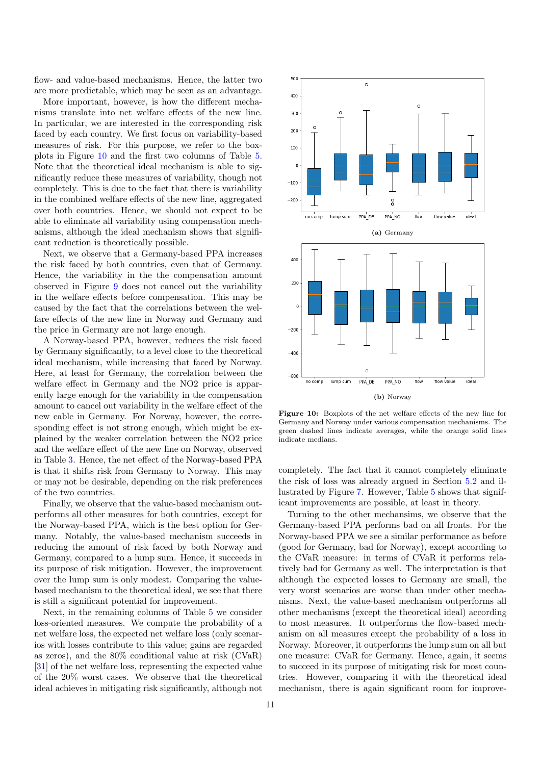flow- and value-based mechanisms. Hence, the latter two are more predictable, which may be seen as an advantage.

More important, however, is how the different mechanisms translate into net welfare effects of the new line. In particular, we are interested in the corresponding risk faced by each country. We first focus on variability-based measures of risk. For this purpose, we refer to the boxplots in Figure [10](#page-10-0) and the first two columns of Table [5.](#page-11-0) Note that the theoretical ideal mechanism is able to significantly reduce these measures of variability, though not completely. This is due to the fact that there is variability in the combined welfare effects of the new line, aggregated over both countries. Hence, we should not expect to be able to eliminate all variability using compensation mechanisms, although the ideal mechanism shows that significant reduction is theoretically possible.

Next, we observe that a Germany-based PPA increases the risk faced by both countries, even that of Germany. Hence, the variability in the the compensation amount observed in Figure [9](#page-9-2) does not cancel out the variability in the welfare effects before compensation. This may be caused by the fact that the correlations between the welfare effects of the new line in Norway and Germany and the price in Germany are not large enough.

A Norway-based PPA, however, reduces the risk faced by Germany significantly, to a level close to the theoretical ideal mechanism, while increasing that faced by Norway. Here, at least for Germany, the correlation between the welfare effect in Germany and the NO2 price is apparently large enough for the variability in the compensation amount to cancel out variability in the welfare effect of the new cable in Germany. For Norway, however, the corresponding effect is not strong enough, which might be explained by the weaker correlation between the NO2 price and the welfare effect of the new line on Norway, observed in Table [3.](#page-8-0) Hence, the net effect of the Norway-based PPA is that it shifts risk from Germany to Norway. This may or may not be desirable, depending on the risk preferences of the two countries.

Finally, we observe that the value-based mechanism outperforms all other measures for both countries, except for the Norway-based PPA, which is the best option for Germany. Notably, the value-based mechanism succeeds in reducing the amount of risk faced by both Norway and Germany, compared to a lump sum. Hence, it succeeds in its purpose of risk mitigation. However, the improvement over the lump sum is only modest. Comparing the valuebased mechanism to the theoretical ideal, we see that there is still a significant potential for improvement.

Next, in the remaining columns of Table [5](#page-11-0) we consider loss-oriented measures. We compute the probability of a net welfare loss, the expected net welfare loss (only scenarios with losses contribute to this value; gains are regarded as zeros), and the 80% conditional value at risk (CVaR) [\[31\]](#page-17-23) of the net welfare loss, representing the expected value of the 20% worst cases. We observe that the theoretical ideal achieves in mitigating risk significantly, although not

<span id="page-10-0"></span>

Figure 10: Boxplots of the net welfare effects of the new line for Germany and Norway under various compensation mechanisms. The green dashed lines indicate averages, while the orange solid lines indicate medians.

completely. The fact that it cannot completely eliminate the risk of loss was already argued in Section [5.2](#page-6-3) and illustrated by Figure [7.](#page-7-1) However, Table [5](#page-11-0) shows that significant improvements are possible, at least in theory.

Turning to the other mechansims, we observe that the Germany-based PPA performs bad on all fronts. For the Norway-based PPA we see a similar performance as before (good for Germany, bad for Norway), except according to the CVaR measure: in terms of CVaR it performs relatively bad for Germany as well. The interpretation is that although the expected losses to Germany are small, the very worst scenarios are worse than under other mechanisms. Next, the value-based mechanism outperforms all other mechanisms (except the theoretical ideal) according to most measures. It outperforms the flow-based mechanism on all measures except the probability of a loss in Norway. Moreover, it outperforms the lump sum on all but one measure: CVaR for Germany. Hence, again, it seems to succeed in its purpose of mitigating risk for most countries. However, comparing it with the theoretical ideal mechanism, there is again significant room for improve-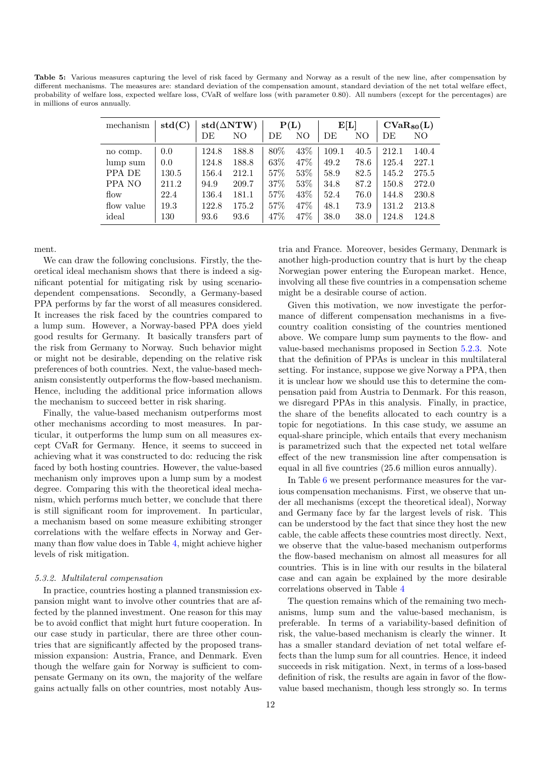<span id="page-11-0"></span>Table 5: Various measures capturing the level of risk faced by Germany and Norway as a result of the new line, after compensation by different mechanisms. The measures are: standard deviation of the compensation amount, standard deviation of the net total welfare effect, probability of welfare loss, expected welfare loss, CVaR of welfare loss (with parameter 0.80). All numbers (except for the percentages) are in millions of euros annually.

| mechanism  | std(C) | $std(\triangle NTW)$ |       | P(L) |      | E[L]  |      | $CVaR_{80}(L)$ |       |
|------------|--------|----------------------|-------|------|------|-------|------|----------------|-------|
|            |        | DE                   | NO    | DE   | NO   | DE    | NΟ   | DЕ             | NO    |
| no comp.   | 0.0    | 124.8                | 188.8 | 80\% | 43\% | 109.1 | 40.5 | 212.1          | 140.4 |
| lump sum   | 0.0    | 124.8                | 188.8 | 63\% | 47\% | 49.2  | 78.6 | 125.4          | 227.1 |
| PPA DE     | 130.5  | 156.4                | 212.1 | 57%  | 53\% | 58.9  | 82.5 | 145.2          | 275.5 |
| PPA NO     | 211.2  | 94.9                 | 209.7 | 37\% | 53\% | 34.8  | 87.2 | 150.8          | 272.0 |
| flow       | 22.4   | 136.4                | 181.1 | 57%  | 43\% | 52.4  | 76.0 | 144.8          | 230.8 |
| flow value | 19.3   | 122.8                | 175.2 | 57%  | 47%  | 48.1  | 73.9 | 131.2          | 213.8 |
| ideal      | 130    | 93.6                 | 93.6  | 47\% | 47%  | 38.0  | 38.0 | 124.8          | 124.8 |

ment.

We can draw the following conclusions. Firstly, the theoretical ideal mechanism shows that there is indeed a significant potential for mitigating risk by using scenariodependent compensations. Secondly, a Germany-based PPA performs by far the worst of all measures considered. It increases the risk faced by the countries compared to a lump sum. However, a Norway-based PPA does yield good results for Germany. It basically transfers part of the risk from Germany to Norway. Such behavior might or might not be desirable, depending on the relative risk preferences of both countries. Next, the value-based mechanism consistently outperforms the flow-based mechanism. Hence, including the additional price information allows the mechanism to succeed better in risk sharing.

Finally, the value-based mechanism outperforms most other mechanisms according to most measures. In particular, it outperforms the lump sum on all measures except CVaR for Germany. Hence, it seems to succeed in achieving what it was constructed to do: reducing the risk faced by both hosting countries. However, the value-based mechanism only improves upon a lump sum by a modest degree. Comparing this with the theoretical ideal mechanism, which performs much better, we conclude that there is still significant room for improvement. In particular, a mechanism based on some measure exhibiting stronger correlations with the welfare effects in Norway and Germany than flow value does in Table [4,](#page-8-1) might achieve higher levels of risk mitigation.

# 5.3.2. Multilateral compensation

In practice, countries hosting a planned transmission expansion might want to involve other countries that are affected by the planned investment. One reason for this may be to avoid conflict that might hurt future cooperation. In our case study in particular, there are three other countries that are significantly affected by the proposed transmission expansion: Austria, France, and Denmark. Even though the welfare gain for Norway is sufficient to compensate Germany on its own, the majority of the welfare gains actually falls on other countries, most notably Aus-

tria and France. Moreover, besides Germany, Denmark is another high-production country that is hurt by the cheap Norwegian power entering the European market. Hence, involving all these five countries in a compensation scheme might be a desirable course of action.

Given this motivation, we now investigate the performance of different compensation mechanisms in a fivecountry coalition consisting of the countries mentioned above. We compare lump sum payments to the flow- and value-based mechanisms proposed in Section [5.2.3.](#page-8-2) Note that the definition of PPAs is unclear in this multilateral setting. For instance, suppose we give Norway a PPA, then it is unclear how we should use this to determine the compensation paid from Austria to Denmark. For this reason, we disregard PPAs in this analysis. Finally, in practice, the share of the benefits allocated to each country is a topic for negotiations. In this case study, we assume an equal-share principle, which entails that every mechanism is parametrized such that the expected net total welfare effect of the new transmission line after compensation is equal in all five countries (25.6 million euros annually).

In Table [6](#page-12-1) we present performance measures for the various compensation mechanisms. First, we observe that under all mechanisms (except the theoretical ideal), Norway and Germany face by far the largest levels of risk. This can be understood by the fact that since they host the new cable, the cable affects these countries most directly. Next, we observe that the value-based mechanism outperforms the flow-based mechanism on almost all measures for all countries. This is in line with our results in the bilateral case and can again be explained by the more desirable correlations observed in Table [4](#page-8-1)

The question remains which of the remaining two mechanisms, lump sum and the value-based mechanism, is preferable. In terms of a variability-based definition of risk, the value-based mechanism is clearly the winner. It has a smaller standard deviation of net total welfare effects than the lump sum for all countries. Hence, it indeed succeeds in risk mitigation. Next, in terms of a loss-based definition of risk, the results are again in favor of the flowvalue based mechanism, though less strongly so. In terms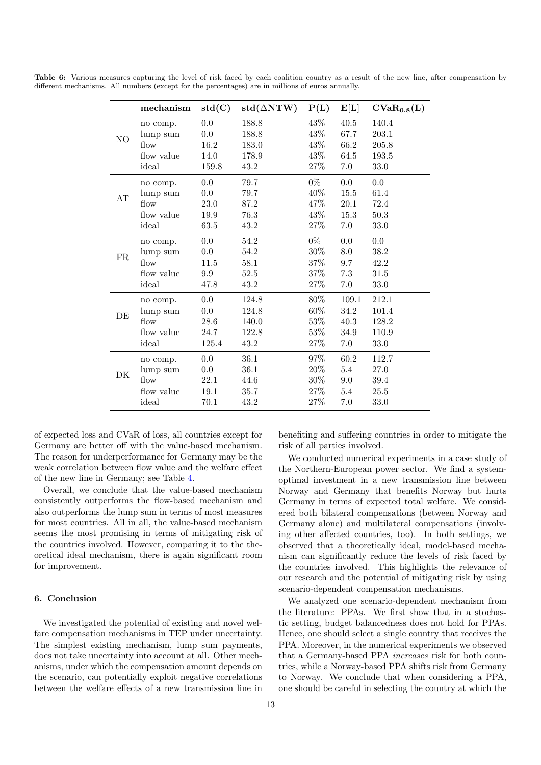|                | mechanism  | std(C)  | $\text{std}(\Delta \text{NTW})$ | P(L)   | E[L]  | $CVaR_{0.8}(L)$ |
|----------------|------------|---------|---------------------------------|--------|-------|-----------------|
|                | no comp.   | 0.0     | 188.8                           | $43\%$ | 40.5  | 140.4           |
| N <sub>O</sub> | lump sum   | 0.0     | 188.8                           | 43\%   | 67.7  | 203.1           |
|                | flow       | 16.2    | 183.0                           | 43%    | 66.2  | 205.8           |
|                | flow value | 14.0    | 178.9                           | 43%    | 64.5  | 193.5           |
|                | ideal      | 159.8   | 43.2                            | $27\%$ | 7.0   | 33.0            |
|                | no comp.   | $0.0\,$ | 79.7                            | $0\%$  | 0.0   | 0.0             |
| AT             | lump sum   | 0.0     | 79.7                            | 40%    | 15.5  | 61.4            |
|                | flow       | 23.0    | 87.2                            | 47\%   | 20.1  | 72.4            |
|                | flow value | 19.9    | 76.3                            | 43\%   | 15.3  | 50.3            |
|                | ideal      | 63.5    | 43.2                            | 27%    | 7.0   | 33.0            |
|                | no comp.   | 0.0     | 54.2                            | $0\%$  | 0.0   | 0.0             |
| <b>FR</b>      | lump sum   | 0.0     | 54.2                            | $30\%$ | 8.0   | 38.2            |
|                | flow       | 11.5    | 58.1                            | 37%    | 9.7   | 42.2            |
|                | flow value | 9.9     | 52.5                            | $37\%$ | 7.3   | 31.5            |
|                | ideal      | 47.8    | 43.2                            | $27\%$ | 7.0   | 33.0            |
|                | no comp.   | 0.0     | 124.8                           | 80%    | 109.1 | 212.1           |
| DE             | lump sum   | 0.0     | 124.8                           | $60\%$ | 34.2  | 101.4           |
|                | flow       | 28.6    | 140.0                           | $53\%$ | 40.3  | 128.2           |
|                | flow value | 24.7    | 122.8                           | 53%    | 34.9  | 110.9           |
|                | ideal      | 125.4   | 43.2                            | 27%    | 7.0   | 33.0            |
|                | no comp.   | 0.0     | 36.1                            | $97\%$ | 60.2  | 112.7           |
| DK             | lump sum   | 0.0     | 36.1                            | 20%    | 5.4   | 27.0            |
|                | flow       | 22.1    | 44.6                            | $30\%$ | 9.0   | 39.4            |
|                | flow value | 19.1    | 35.7                            | 27%    | 5.4   | 25.5            |
|                | ideal      | 70.1    | 43.2                            | 27\%   | 7.0   | 33.0            |

<span id="page-12-1"></span>Table 6: Various measures capturing the level of risk faced by each coalition country as a result of the new line, after compensation by different mechanisms. All numbers (except for the percentages) are in millions of euros annually.

of expected loss and CVaR of loss, all countries except for Germany are better off with the value-based mechanism. The reason for underperformance for Germany may be the weak correlation between flow value and the welfare effect of the new line in Germany; see Table [4.](#page-8-1)

Overall, we conclude that the value-based mechanism consistently outperforms the flow-based mechanism and also outperforms the lump sum in terms of most measures for most countries. All in all, the value-based mechanism seems the most promising in terms of mitigating risk of the countries involved. However, comparing it to the theoretical ideal mechanism, there is again significant room for improvement.

# <span id="page-12-0"></span>6. Conclusion

We investigated the potential of existing and novel welfare compensation mechanisms in TEP under uncertainty. The simplest existing mechanism, lump sum payments, does not take uncertainty into account at all. Other mechanisms, under which the compensation amount depends on the scenario, can potentially exploit negative correlations between the welfare effects of a new transmission line in

benefiting and suffering countries in order to mitigate the risk of all parties involved.

We conducted numerical experiments in a case study of the Northern-European power sector. We find a systemoptimal investment in a new transmission line between Norway and Germany that benefits Norway but hurts Germany in terms of expected total welfare. We considered both bilateral compensations (between Norway and Germany alone) and multilateral compensations (involving other affected countries, too). In both settings, we observed that a theoretically ideal, model-based mechanism can significantly reduce the levels of risk faced by the countries involved. This highlights the relevance of our research and the potential of mitigating risk by using scenario-dependent compensation mechanisms.

We analyzed one scenario-dependent mechanism from the literature: PPAs. We first show that in a stochastic setting, budget balancedness does not hold for PPAs. Hence, one should select a single country that receives the PPA. Moreover, in the numerical experiments we observed that a Germany-based PPA increases risk for both countries, while a Norway-based PPA shifts risk from Germany to Norway. We conclude that when considering a PPA, one should be careful in selecting the country at which the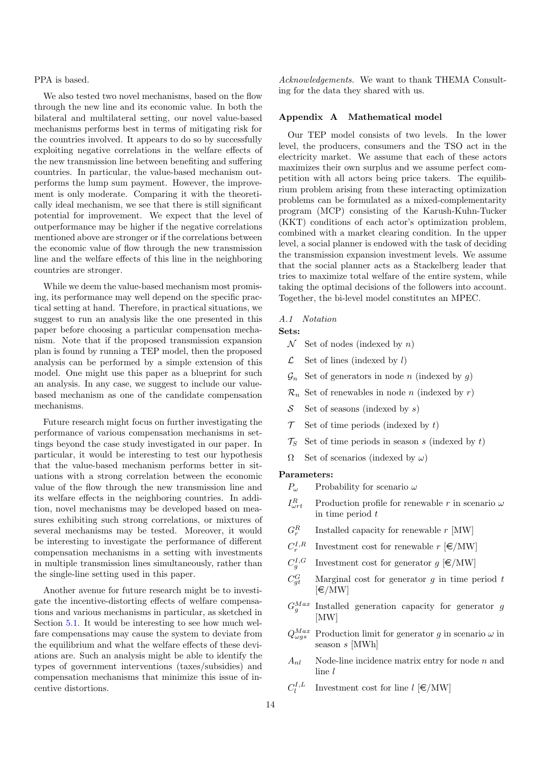# PPA is based.

We also tested two novel mechanisms, based on the flow through the new line and its economic value. In both the bilateral and multilateral setting, our novel value-based mechanisms performs best in terms of mitigating risk for the countries involved. It appears to do so by successfully exploiting negative correlations in the welfare effects of the new transmission line between benefiting and suffering countries. In particular, the value-based mechanism outperforms the lump sum payment. However, the improvement is only moderate. Comparing it with the theoretically ideal mechanism, we see that there is still significant potential for improvement. We expect that the level of outperformance may be higher if the negative correlations mentioned above are stronger or if the correlations between the economic value of flow through the new transmission line and the welfare effects of this line in the neighboring countries are stronger.

While we deem the value-based mechanism most promising, its performance may well depend on the specific practical setting at hand. Therefore, in practical situations, we suggest to run an analysis like the one presented in this paper before choosing a particular compensation mechanism. Note that if the proposed transmission expansion plan is found by running a TEP model, then the proposed analysis can be performed by a simple extension of this model. One might use this paper as a blueprint for such an analysis. In any case, we suggest to include our valuebased mechanism as one of the candidate compensation mechanisms.

Future research might focus on further investigating the performance of various compensation mechanisms in settings beyond the case study investigated in our paper. In particular, it would be interesting to test our hypothesis that the value-based mechanism performs better in situations with a strong correlation between the economic value of the flow through the new transmission line and its welfare effects in the neighboring countries. In addition, novel mechanisms may be developed based on measures exhibiting such strong correlations, or mixtures of several mechanisms may be tested. Moreover, it would be interesting to investigate the performance of different compensation mechanisms in a setting with investments in multiple transmission lines simultaneously, rather than the single-line setting used in this paper.

Another avenue for future research might be to investigate the incentive-distorting effects of welfare compensations and various mechanisms in particular, as sketched in Section [5.1.](#page-6-2) It would be interesting to see how much welfare compensations may cause the system to deviate from the equilibrium and what the welfare effects of these deviations are. Such an analysis might be able to identify the types of government interventions (taxes/subsidies) and compensation mechanisms that minimize this issue of incentive distortions.

Acknowledgements. We want to thank THEMA Consulting for the data they shared with us.

# <span id="page-13-0"></span>Appendix A Mathematical model

Our TEP model consists of two levels. In the lower level, the producers, consumers and the TSO act in the electricity market. We assume that each of these actors maximizes their own surplus and we assume perfect competition with all actors being price takers. The equilibrium problem arising from these interacting optimization problems can be formulated as a mixed-complementarity program (MCP) consisting of the Karush-Kuhn-Tucker (KKT) conditions of each actor's optimization problem, combined with a market clearing condition. In the upper level, a social planner is endowed with the task of deciding the transmission expansion investment levels. We assume that the social planner acts as a Stackelberg leader that tries to maximize total welfare of the entire system, while taking the optimal decisions of the followers into account. Together, the bi-level model constitutes an MPEC.

#### A.1 Notation

#### Sets:

- $\mathcal N$  Set of nodes (indexed by n)
- $\mathcal{L}$  Set of lines (indexed by l)
- $\mathcal{G}_n$  Set of generators in node *n* (indexed by *g*)
- $\mathcal{R}_n$  Set of renewables in node *n* (indexed by *r*)
- $S$  Set of seasons (indexed by s)
- $\mathcal T$  Set of time periods (indexed by t)
- $\mathcal{T}_S$  Set of time periods in season s (indexed by t)
- $\Omega$  Set of scenarios (indexed by  $\omega$ )

# Parameters:

- $P_{\omega}$  Probability for scenario  $\omega$
- $I_{\omega}^R$ Production profile for renewable r in scenario  $\omega$ in time period  $t$
- $G_r^R$ Installed capacity for renewable  $r$  [MW]
- $C_r^{I,R}$ Investment cost for renewable  $r \in \text{MW}$
- $C_g^{I,G}$ Investment cost for generator  $q \in \text{MW}$
- $C_{at}^G$ Marginal cost for generator  $g$  in time period  $t$  $[\in]$ MW]
- $G_g^{Max}$  Installed generation capacity for generator g [MW]
- $Q_{\omega gs}^{Max}$  Production limit for generator g in scenario  $\omega$  in season s [MWh]
- $A_{nl}$  Node-line incidence matrix entry for node n and line l
- $C_l^{I,L}$ Investment cost for line  $l \in /MW$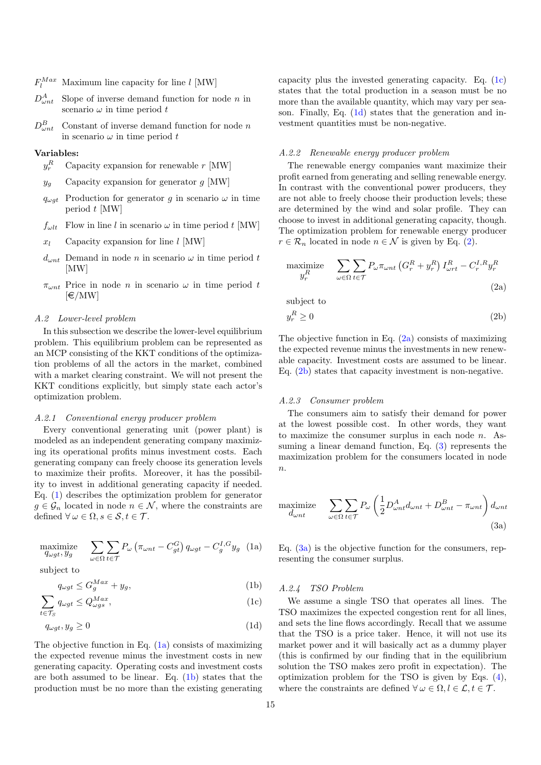- $F_l^{Max}$  Maximum line capacity for line l [MW]
- $D_{\omega n t}^A$ Slope of inverse demand function for node  $n$  in scenario  $\omega$  in time period t
- $D_{\omega n}^B$ Constant of inverse demand function for node  $n$ in scenario  $\omega$  in time period t

# Variables:

- $y_r^R$ Capacity expansion for renewable  $r$  [MW]
- $y_g$  Capacity expansion for generator g [MW]
- $q_{\omega a t}$  Production for generator g in scenario  $\omega$  in time period t [MW]
- $f_{\omega l t}$  Flow in line l in scenario  $\omega$  in time period t [MW]
- $x_l$  Capacity expansion for line l [MW]
- $d_{\omega nt}$  Demand in node n in scenario  $\omega$  in time period t [MW]
- $\pi_{\omega nt}$  Price in node *n* in scenario  $\omega$  in time period *t*  $[\infty / MW]$

# A.2 Lower-level problem

In this subsection we describe the lower-level equilibrium problem. This equilibrium problem can be represented as an MCP consisting of the KKT conditions of the optimization problems of all the actors in the market, combined with a market clearing constraint. We will not present the KKT conditions explicitly, but simply state each actor's optimization problem.

# A.2.1 Conventional energy producer problem

Every conventional generating unit (power plant) is modeled as an independent generating company maximizing its operational profits minus investment costs. Each generating company can freely choose its generation levels to maximize their profits. Moreover, it has the possibility to invest in additional generating capacity if needed. Eq. [\(1\)](#page-14-0) describes the optimization problem for generator  $g \in \mathcal{G}_n$  located in node  $n \in \mathcal{N}$ , where the constraints are defined  $\forall \omega \in \Omega, s \in \mathcal{S}, t \in \mathcal{T}$ .

<span id="page-14-0"></span>
$$
\underset{q_{\omega gt}, y_g}{\text{maximize}} \quad \sum_{\omega \in \Omega} \sum_{t \in \mathcal{T}} P_{\omega} \left( \pi_{\omega nt} - C_{gt}^G \right) q_{\omega gt} - C_g^{I, G} y_g \tag{1a}
$$

subject to

$$
q_{\omega gt} \le G_g^{Max} + y_g,\tag{1b}
$$

$$
\sum_{t \in \mathcal{T}_S} q_{\omega gt} \le Q_{\omega gs}^{Max},\tag{1c}
$$

$$
q_{\omega gt}, y_g \ge 0 \tag{1d}
$$

The objective function in Eq.  $(1a)$  consists of maximizing the expected revenue minus the investment costs in new generating capacity. Operating costs and investment costs are both assumed to be linear. Eq. [\(1b\)](#page-14-2) states that the production must be no more than the existing generating

capacity plus the invested generating capacity. Eq. [\(1c\)](#page-14-3) states that the total production in a season must be no more than the available quantity, which may vary per season. Finally, Eq. [\(1d\)](#page-14-4) states that the generation and investment quantities must be non-negative.

# A.2.2 Renewable energy producer problem

The renewable energy companies want maximize their profit earned from generating and selling renewable energy. In contrast with the conventional power producers, they are not able to freely choose their production levels; these are determined by the wind and solar profile. They can choose to invest in additional generating capacity, though. The optimization problem for renewable energy producer  $r \in \mathcal{R}_n$  located in node  $n \in \mathcal{N}$  is given by Eq. [\(2\)](#page-14-5).

<span id="page-14-6"></span><span id="page-14-5"></span>
$$
\begin{aligned}\n\text{maximize} \quad & \sum_{\omega \in \Omega} \sum_{t \in \mathcal{T}} P_{\omega} \pi_{\omega n t} \left( G_r^R + y_r^R \right) I_{\omega r t}^R - C_r^{I, R} y_r^R \\
& \tag{2a}\n\end{aligned}
$$

subject to

<span id="page-14-7"></span>
$$
y_r^R \ge 0\tag{2b}
$$

The objective function in Eq. [\(2a\)](#page-14-6) consists of maximizing the expected revenue minus the investments in new renewable capacity. Investment costs are assumed to be linear. Eq. [\(2b\)](#page-14-7) states that capacity investment is non-negative.

# A.2.3 Consumer problem

The consumers aim to satisfy their demand for power at the lowest possible cost. In other words, they want to maximize the consumer surplus in each node  $n$ . Assuming a linear demand function, Eq. [\(3\)](#page-14-8) represents the maximization problem for the consumers located in node  $n$ .

<span id="page-14-9"></span><span id="page-14-8"></span>
$$
\begin{aligned}\n\text{maximize} \quad & \sum_{\omega \in \Omega} \sum_{t \in \mathcal{T}} P_{\omega} \left( \frac{1}{2} D_{\omega n t}^A d_{\omega n t} + D_{\omega n t}^B - \pi_{\omega n t} \right) d_{\omega n t} \\
&\tag{3a}\n\end{aligned}
$$

<span id="page-14-1"></span>Eq.  $(3a)$  is the objective function for the consumers, representing the consumer surplus.

# <span id="page-14-2"></span>A.2.4 TSO Problem

<span id="page-14-10"></span><span id="page-14-4"></span><span id="page-14-3"></span>We assume a single TSO that operates all lines. The TSO maximizes the expected congestion rent for all lines, and sets the line flows accordingly. Recall that we assume that the TSO is a price taker. Hence, it will not use its market power and it will basically act as a dummy player (this is confirmed by our finding that in the equilibrium solution the TSO makes zero profit in expectation). The optimization problem for the TSO is given by Eqs. [\(4\)](#page-14-10), where the constraints are defined  $\forall \omega \in \Omega, l \in \mathcal{L}, t \in \mathcal{T}$ .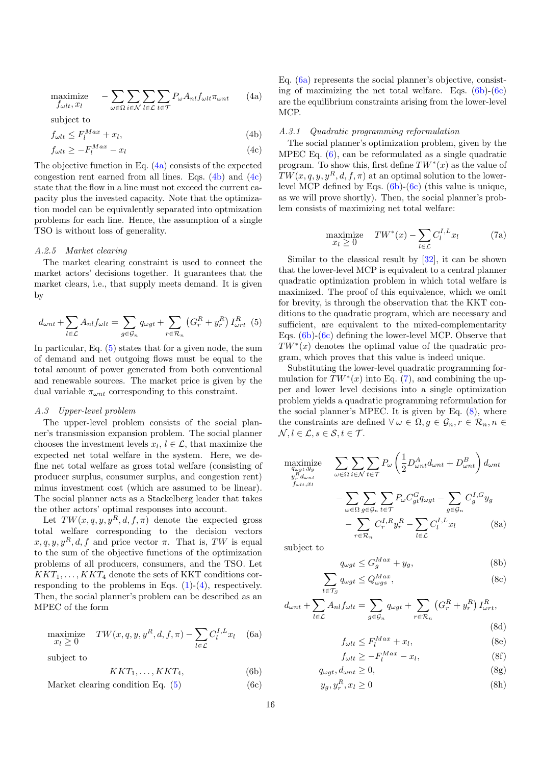$$
\underset{f_{\omega lt}, x_l}{\text{maximize}} \quad -\sum_{\omega \in \Omega} \sum_{i \in \mathcal{N}} \sum_{l \in \mathcal{L}} \sum_{t \in \mathcal{T}} P_{\omega} A_{nl} f_{\omega lt} \pi_{\omega nt} \qquad (4a)
$$

subject to

$$
f_{\omega lt} \le F_l^{Max} + x_l,
$$

$$
f_{\omega l t} \ge -F_l^{Max} - x_l \tag{4c}
$$

<span id="page-15-2"></span><span id="page-15-1"></span> $(4b)$ 

The objective function in Eq. [\(4a\)](#page-15-0) consists of the expected congestion rent earned from all lines. Eqs. [\(4b\)](#page-15-1) and [\(4c\)](#page-15-2) state that the flow in a line must not exceed the current capacity plus the invested capacity. Note that the optimization model can be equivalently separated into optmization problems for each line. Hence, the assumption of a single TSO is without loss of generality.

#### A.2.5 Market clearing

The market clearing constraint is used to connect the market actors' decisions together. It guarantees that the market clears, i.e., that supply meets demand. It is given by

<span id="page-15-3"></span>
$$
d_{\omega nt} + \sum_{l \in \mathcal{L}} A_{nl} f_{\omega lt} = \sum_{g \in \mathcal{G}_n} q_{\omega gt} + \sum_{r \in \mathcal{R}_n} \left( G_r^R + y_r^R \right) I_{\omega rt}^R \tag{5}
$$

In particular, Eq. [\(5\)](#page-15-3) states that for a given node, the sum of demand and net outgoing flows must be equal to the total amount of power generated from both conventional and renewable sources. The market price is given by the dual variable  $\pi_{\omega n t}$  corresponding to this constraint.

# A.3 Upper-level problem

The upper-level problem consists of the social planner's transmission expansion problem. The social planner chooses the investment levels  $x_l, l \in \mathcal{L}$ , that maximize the expected net total welfare in the system. Here, we define net total welfare as gross total welfare (consisting of producer surplus, consumer surplus, and congestion rent) minus investment cost (which are assumed to be linear). The social planner acts as a Stackelberg leader that takes the other actors' optimal responses into account.

Let  $TW(x, q, y, y^R, d, f, \pi)$  denote the expected gross total welfare corresponding to the decision vectors  $x, q, y, y^R, d, f$  and price vector  $\pi$ . That is, TW is equal to the sum of the objective functions of the optimization problems of all producers, consumers, and the TSO. Let  $KKT_1, \ldots, KKT_4$  denote the sets of KKT conditions corresponding to the problems in Eqs.  $(1)-(4)$  $(1)-(4)$  $(1)-(4)$ , respectively. Then, the social planner's problem can be described as an MPEC of the form

<span id="page-15-7"></span>
$$
\begin{array}{ll}\text{maximize} & TW(x, q, y, y^R, d, f, \pi) - \sum_{l \in \mathcal{L}} C_l^{I, L} x_l & \text{(6a)}\\ & x_l \ge 0 & \end{array}
$$

subject to

$$
KKT_1, \ldots, KKT_4,\tag{6b}
$$

Market clearing condition Eq.  $(5)$  (6c)

<span id="page-15-0"></span>Eq. [\(6a\)](#page-15-4) represents the social planner's objective, consisting of maximizing the net total welfare. Eqs.  $(6b)-(6c)$  $(6b)-(6c)$  $(6b)-(6c)$ are the equilibrium constraints arising from the lower-level MCP.

#### A.3.1 Quadratic programming reformulation

The social planner's optimization problem, given by the MPEC Eq. [\(6\)](#page-15-7), can be reformulated as a single quadratic program. To show this, first define  $TW^*(x)$  as the value of  $TW(x, q, y, y^R, d, f, \pi)$  at an optimal solution to the lowerlevel MCP defined by Eqs. [\(6b\)](#page-15-5)-[\(6c\)](#page-15-6) (this value is unique, as we will prove shortly). Then, the social planner's problem consists of maximizing net total welfare:

$$
\begin{array}{ll}\text{maximize} & TW^*(x) - \sum_{l \in \mathcal{L}} C_l^{I,L} x_l \end{array} \tag{7a}
$$

<span id="page-15-8"></span>Similar to the classical result by [\[32\]](#page-17-24), it can be shown that the lower-level MCP is equivalent to a central planner quadratic optimization problem in which total welfare is maximized. The proof of this equivalence, which we omit for brevity, is through the observation that the KKT conditions to the quadratic program, which are necessary and sufficient, are equivalent to the mixed-complementarity Eqs. [\(6b\)](#page-15-5)-[\(6c\)](#page-15-6) defining the lower-level MCP. Observe that  $TW^*(x)$  denotes the optimal value of the quadratic program, which proves that this value is indeed unique.

Substituting the lower-level quadratic programming formulation for  $TW^*(x)$  into Eq. [\(7\)](#page-15-8), and combining the upper and lower level decisions into a single optimization problem yields a quadratic programming reformulation for the social planner's MPEC. It is given by Eq. [\(8\)](#page-15-9), where the constraints are defined  $\forall \omega \in \Omega, g \in \mathcal{G}_n, r \in \mathcal{R}_n, n \in$  $\mathcal{N}, l \in \mathcal{L}, s \in \mathcal{S}, t \in \mathcal{T}$ .

<span id="page-15-9"></span>
$$
\begin{aligned}\n\underset{\substack{q_{\omega g t}, y_g \\ g_r d_{\omega nt}}}{\text{maximize}} \quad & \sum_{\omega \in \Omega} \sum_{i \in \mathcal{N}} \sum_{t \in \mathcal{T}} P_{\omega} \left( \frac{1}{2} D_{\omega nt}^A d_{\omega nt} + D_{\omega nt}^B \right) d_{\omega nt} \\
& \quad - \sum_{\omega \in \Omega} \sum_{g \in \mathcal{G}_n} \sum_{t \in \mathcal{T}} P_{\omega} C_{gt}^G q_{\omega gt} - \sum_{g \in \mathcal{G}_n} C_g^{I, G} y_g \\
& \quad - \sum_{r \in \mathcal{R}_n} C_r^{I, R} y_r^R - \sum_{l \in \mathcal{L}} C_l^{I, L} x_l \tag{8a}\n\end{aligned}
$$

subject to

<span id="page-15-11"></span><span id="page-15-10"></span>
$$
q_{\omega gt} \le G_g^{Max} + y_g,\tag{8b}
$$

$$
\sum_{t \in \mathcal{T}_S} q_{\omega gt} \le Q_{\omega gs}^{Max},\tag{8c}
$$

<span id="page-15-5"></span><span id="page-15-4"></span>
$$
d_{\omega nt} + \sum_{l \in \mathcal{L}} A_{nl} f_{\omega lt} = \sum_{g \in \mathcal{G}_n} q_{\omega gt} + \sum_{r \in \mathcal{R}_n} \left( G_r^R + y_r^R \right) I_{\omega rt}^R,
$$
\n(8d)

<span id="page-15-12"></span>
$$
f_{\omega lt} \le F_l^{Max} + x_l,\tag{8e}
$$

$$
f_{\omega lt} \ge -F_l^{Max} - x_l,\tag{8f}
$$

<span id="page-15-6"></span>
$$
q_{\omega gt}, d_{\omega nt} \ge 0,\tag{8g}
$$

$$
y_g, y_r^R, x_l \ge 0 \tag{8h}
$$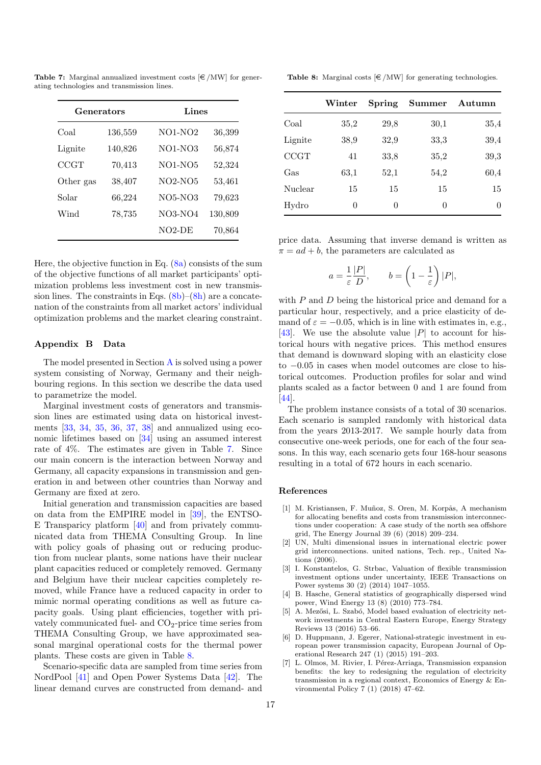| Generators  |         | Lines          |         |  |  |
|-------------|---------|----------------|---------|--|--|
| Coal        | 136,559 | <b>NO1-NO2</b> | 36,399  |  |  |
| Lignite     | 140,826 | NO1-NO3        | 56,874  |  |  |
| <b>CCGT</b> | 70,413  | NO1-NO5        | 52,324  |  |  |
| Other gas   | 38,407  | $NO2-NO5$      | 53,461  |  |  |
| Solar       | 66,224  | $NO5-NO3$      | 79,623  |  |  |
| Wind        | 78,735  | NO3-NO4        | 130,809 |  |  |
|             |         | NO2-DE         | 70,864  |  |  |

<span id="page-16-8"></span>Table 7: Marginal annualized investment costs  $\in / MW$  for generating technologies and transmission lines.

Here, the objective function in Eq.  $(8a)$  consists of the sum of the objective functions of all market participants' optimization problems less investment cost in new transmission lines. The constraints in Eqs.  $(8b)–(8h)$  $(8b)–(8h)$  $(8b)–(8h)$  are a concatenation of the constraints from all market actors' individual optimization problems and the market clearing constraint.

# <span id="page-16-7"></span>Appendix B Data

The model presented in Section [A](#page-13-0) is solved using a power system consisting of Norway, Germany and their neighbouring regions. In this section we describe the data used to parametrize the model.

Marginal investment costs of generators and transmission lines are estimated using data on historical investments [\[33,](#page-17-25) [34,](#page-17-26) [35,](#page-17-27) [36,](#page-17-28) [37,](#page-17-29) [38\]](#page-17-30) and annualized using economic lifetimes based on [\[34\]](#page-17-26) using an assumed interest rate of 4%. The estimates are given in Table [7.](#page-16-8) Since our main concern is the interaction between Norway and Germany, all capacity expansions in transmission and generation in and between other countries than Norway and Germany are fixed at zero.

Initial generation and transmission capacities are based on data from the EMPIRE model in [\[39\]](#page-17-31), the ENTSO-E Transparicy platform [\[40\]](#page-17-32) and from privately communicated data from THEMA Consulting Group. In line with policy goals of phasing out or reducing production from nuclear plants, some nations have their nuclear plant capacities reduced or completely removed. Germany and Belgium have their nuclear capcities completely removed, while France have a reduced capacity in order to mimic normal operating conditions as well as future capacity goals. Using plant efficiencies, together with privately communicated fuel- and  $CO<sub>2</sub>$ -price time series from THEMA Consulting Group, we have approximated seasonal marginal operational costs for the thermal power plants. These costs are given in Table [8.](#page-16-9)

Scenario-specific data are sampled from time series from NordPool [\[41\]](#page-17-33) and Open Power Systems Data [\[42\]](#page-17-34). The linear demand curves are constructed from demand- and

<span id="page-16-9"></span>**Table 8:** Marginal costs  $\in$  /MW] for generating technologies.

|         | $\operatorname{Winter}$ | Spring | <b>Summer</b> | Autumn |
|---------|-------------------------|--------|---------------|--------|
| Coal    | 35,2                    | 29,8   | 30,1          | 35,4   |
| Lignite | 38,9                    | 32,9   | 33,3          | 39,4   |
| CCGT    | 41                      | 33,8   | 35,2          | 39,3   |
| Gas     | 63,1                    | 52,1   | 54,2          | 60,4   |
| Nuclear | 15                      | 15     | 15            | 15     |
| Hydro   | $\Omega$                | 0      | 0             | 0      |

price data. Assuming that inverse demand is written as  $\pi = ad + b$ , the parameters are calculated as

$$
a = \frac{1}{\varepsilon} \frac{|P|}{D}, \qquad b = \left(1 - \frac{1}{\varepsilon}\right)|P|,
$$

with  $P$  and  $D$  being the historical price and demand for a particular hour, respectively, and a price elasticity of demand of  $\varepsilon = -0.05$ , which is in line with estimates in, e.g., [\[43\]](#page-17-35). We use the absolute value  $|P|$  to account for historical hours with negative prices. This method ensures that demand is downward sloping with an elasticity close to −0.05 in cases when model outcomes are close to historical outcomes. Production profiles for solar and wind plants scaled as a factor between 0 and 1 are found from [\[44\]](#page-17-36).

The problem instance consists of a total of 30 scenarios. Each scenario is sampled randomly with historical data from the years 2013-2017. We sample hourly data from consecutive one-week periods, one for each of the four seasons. In this way, each scenario gets four 168-hour seasons resulting in a total of 672 hours in each scenario.

# References

- <span id="page-16-0"></span>[1] M. Kristiansen, F. Muñoz, S. Oren, M. Korpås, A mechanism for allocating benefits and costs from transmission interconnections under cooperation: A case study of the north sea offshore grid, The Energy Journal 39 (6) (2018) 209–234.
- <span id="page-16-1"></span>[2] UN, Multi dimensional issues in international electric power grid interconnections. united nations, Tech. rep., United Nations (2006).
- <span id="page-16-2"></span>[3] I. Konstantelos, G. Strbac, Valuation of flexible transmission investment options under uncertainty, IEEE Transactions on Power systems 30 (2) (2014) 1047–1055.
- <span id="page-16-3"></span>[4] B. Hasche, General statistics of geographically dispersed wind power, Wind Energy 13 (8) (2010) 773–784.
- <span id="page-16-4"></span>[5] A. Mezősi, L. Szabó, Model based evaluation of electricity network investments in Central Eastern Europe, Energy Strategy Reviews 13 (2016) 53–66.
- <span id="page-16-5"></span>[6] D. Huppmann, J. Egerer, National-strategic investment in european power transmission capacity, European Journal of Operational Research 247 (1) (2015) 191–203.
- <span id="page-16-6"></span>[7] L. Olmos, M. Rivier, I. Pérez-Arriaga, Transmission expansion benefits: the key to redesigning the regulation of electricity transmission in a regional context, Economics of Energy & Environmental Policy 7 (1) (2018) 47–62.